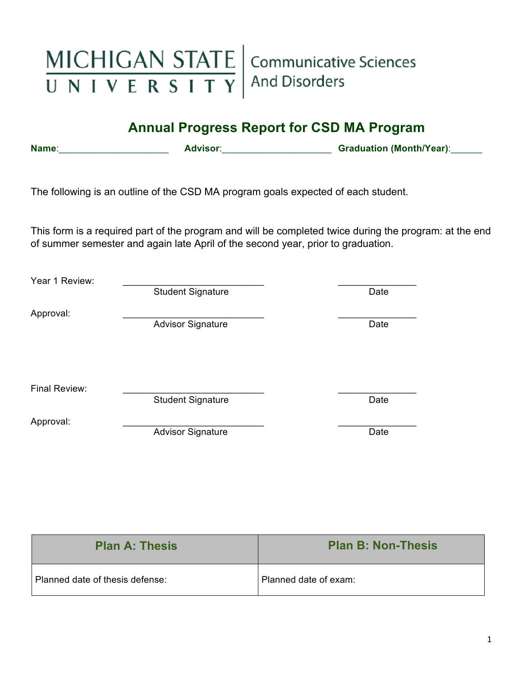

# **Annual Progress Report for CSD MA Program**

**Name**:\_\_\_\_\_\_\_\_\_\_\_\_\_\_\_\_\_\_\_\_\_ **Advisor**:\_\_\_\_\_\_\_\_\_\_\_\_\_\_\_\_\_\_\_\_\_ **Graduation (Month/Year)**:\_\_\_\_\_\_

The following is an outline of the CSD MA program goals expected of each student.

This form is a required part of the program and will be completed twice during the program: at the end of summer semester and again late April of the second year, prior to graduation.

| Year 1 Review: |                          |      |
|----------------|--------------------------|------|
|                | <b>Student Signature</b> | Date |
| Approval:      |                          |      |
|                | <b>Advisor Signature</b> | Date |
|                |                          |      |
|                |                          |      |
|                |                          |      |
| Final Review:  | <b>Student Signature</b> | Date |
|                |                          |      |
| Approval:      | <b>Advisor Signature</b> | Date |
|                |                          |      |

| <b>Plan A: Thesis</b>           | <b>Plan B: Non-Thesis</b> |
|---------------------------------|---------------------------|
| Planned date of thesis defense: | Planned date of exam:     |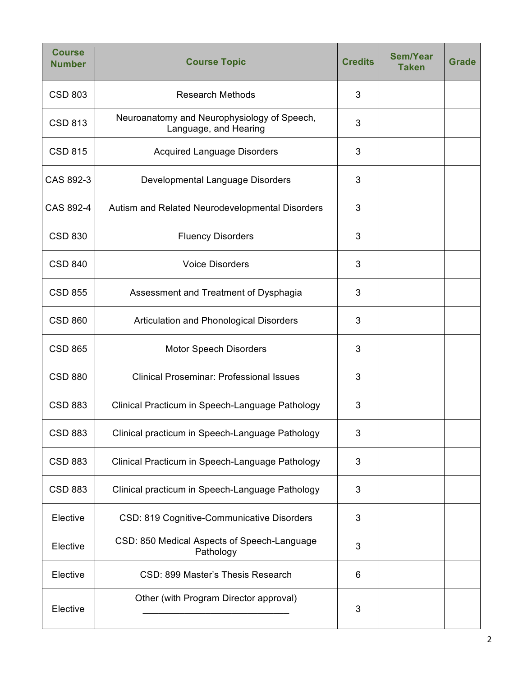| <b>Course</b><br><b>Number</b> | <b>Course Topic</b>                                                  | <b>Credits</b> | <b>Sem/Year</b><br><b>Taken</b> | <b>Grade</b> |
|--------------------------------|----------------------------------------------------------------------|----------------|---------------------------------|--------------|
| <b>CSD 803</b>                 | <b>Research Methods</b>                                              | 3              |                                 |              |
| <b>CSD 813</b>                 | Neuroanatomy and Neurophysiology of Speech,<br>Language, and Hearing | 3              |                                 |              |
| <b>CSD 815</b>                 | <b>Acquired Language Disorders</b>                                   | 3              |                                 |              |
| CAS 892-3                      | Developmental Language Disorders                                     | 3              |                                 |              |
| CAS 892-4                      | Autism and Related Neurodevelopmental Disorders                      | 3              |                                 |              |
| <b>CSD 830</b>                 | <b>Fluency Disorders</b>                                             | 3              |                                 |              |
| <b>CSD 840</b>                 | <b>Voice Disorders</b>                                               | 3              |                                 |              |
| <b>CSD 855</b>                 | Assessment and Treatment of Dysphagia                                | 3              |                                 |              |
| <b>CSD 860</b>                 | Articulation and Phonological Disorders                              | 3              |                                 |              |
| <b>CSD 865</b>                 | <b>Motor Speech Disorders</b>                                        | 3              |                                 |              |
| <b>CSD 880</b>                 | <b>Clinical Proseminar: Professional Issues</b>                      | 3              |                                 |              |
| <b>CSD 883</b>                 | Clinical Practicum in Speech-Language Pathology                      | 3              |                                 |              |
| <b>CSD 883</b>                 | Clinical practicum in Speech-Language Pathology                      | 3              |                                 |              |
| <b>CSD 883</b>                 | Clinical Practicum in Speech-Language Pathology                      | 3              |                                 |              |
| <b>CSD 883</b>                 | Clinical practicum in Speech-Language Pathology                      | 3              |                                 |              |
| Elective                       | CSD: 819 Cognitive-Communicative Disorders                           | 3              |                                 |              |
| Elective                       | CSD: 850 Medical Aspects of Speech-Language<br>Pathology             | 3              |                                 |              |
| Elective                       | CSD: 899 Master's Thesis Research                                    | 6              |                                 |              |
| Elective                       | Other (with Program Director approval)                               | 3              |                                 |              |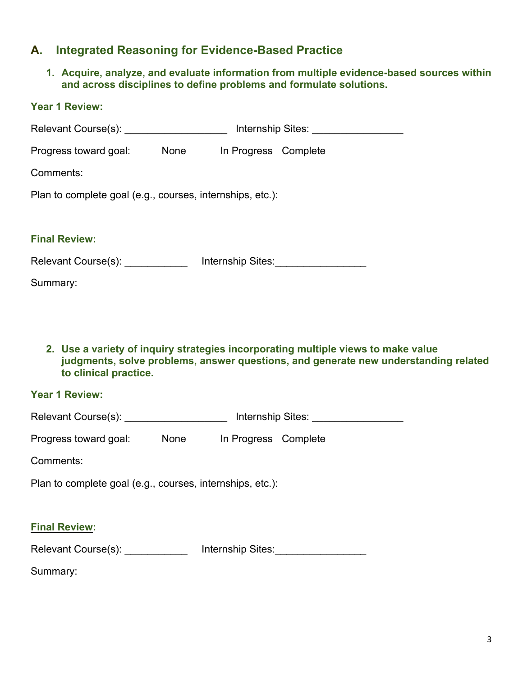## **A. Integrated Reasoning for Evidence-Based Practice**

**1. Acquire, analyze, and evaluate information from multiple evidence-based sources within and across disciplines to define problems and formulate solutions.**

| <b>Year 1 Review:</b>                                     |      |                      |                                               |  |  |
|-----------------------------------------------------------|------|----------------------|-----------------------------------------------|--|--|
| Relevant Course(s): ______________________                |      |                      |                                               |  |  |
| Progress toward goal:                                     | None | In Progress Complete |                                               |  |  |
| Comments:                                                 |      |                      |                                               |  |  |
| Plan to complete goal (e.g., courses, internships, etc.): |      |                      |                                               |  |  |
|                                                           |      |                      |                                               |  |  |
| <b>Final Review:</b>                                      |      |                      |                                               |  |  |
| Relevant Course(s): <u>____________</u>                   |      |                      | Internship Sites:<br><u>Internship Sites:</u> |  |  |
| Summary:                                                  |      |                      |                                               |  |  |
|                                                           |      |                      |                                               |  |  |

**2. Use a variety of inquiry strategies incorporating multiple views to make value judgments, solve problems, answer questions, and generate new understanding related to clinical practice.**

#### **Year 1 Review:**

| Relevant Course(s): | Internship Sites: |
|---------------------|-------------------|
|---------------------|-------------------|

| Progress toward goal: | None | In Progress Complete |  |
|-----------------------|------|----------------------|--|
|                       |      |                      |  |

Comments:

Plan to complete goal (e.g., courses, internships, etc.):

#### **Final Review:**

Relevant Course(s): <br>
Hernship Sites: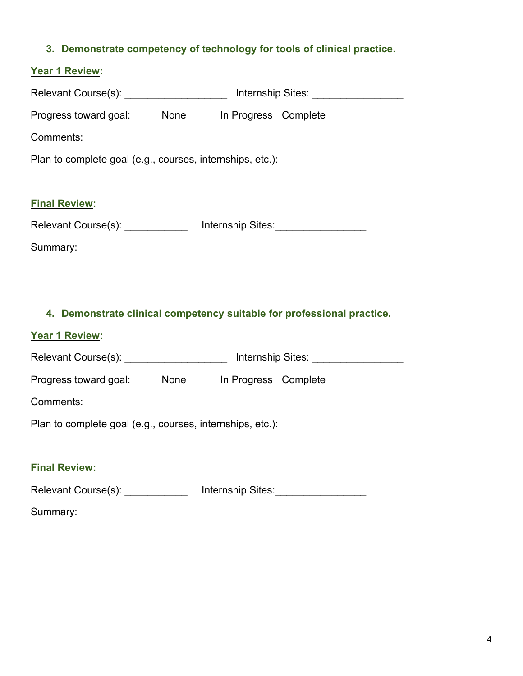#### **3. Demonstrate competency of technology for tools of clinical practice.**

# **Year 1 Review:**  Relevant Course(s): \_\_\_\_\_\_\_\_\_\_\_\_\_\_\_\_\_\_\_\_\_\_ Internship Sites: \_\_\_\_\_\_\_\_\_\_\_\_\_\_\_\_\_\_\_ Progress toward goal: None In Progress Complete Comments: Plan to complete goal (e.g., courses, internships, etc.):

Relevant Course(s): <br>
Hernship Sites:

Summary:

**Final Review:** 

#### **4. Demonstrate clinical competency suitable for professional practice.**

#### **Year 1 Review:**

Relevant Course(s): <br>
Relevant Course(s): <br>
The linternship Sites:

Progress toward goal: None In Progress Complete

Comments:

Plan to complete goal (e.g., courses, internships, etc.):

#### **Final Review:**

Relevant Course(s): \_\_\_\_\_\_\_\_\_\_\_\_\_\_ Internship Sites: \_\_\_\_\_\_\_\_\_\_\_\_\_\_\_\_\_\_\_\_\_\_\_\_\_\_\_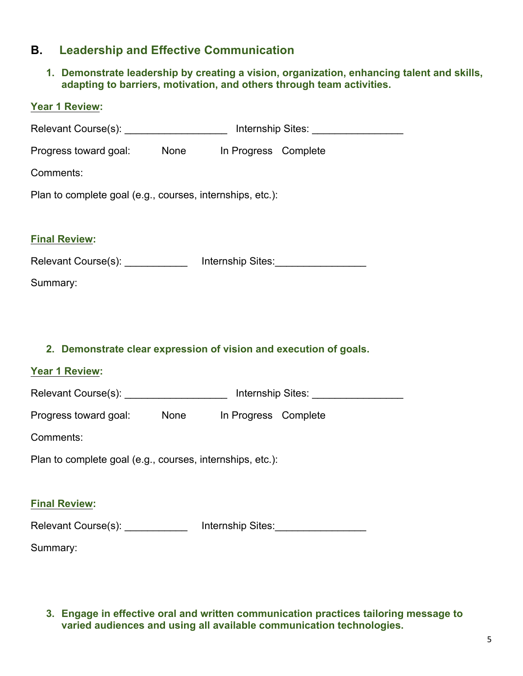## **B. Leadership and Effective Communication**

**1. Demonstrate leadership by creating a vision, organization, enhancing talent and skills, adapting to barriers, motivation, and others through team activities.**

| Year 1 Review:                                                                   |  |                                      |
|----------------------------------------------------------------------------------|--|--------------------------------------|
| Relevant Course(s): ______________________ Internship Sites: ___________________ |  |                                      |
| Progress toward goal: None In Progress Complete                                  |  |                                      |
| Comments:                                                                        |  |                                      |
| Plan to complete goal (e.g., courses, internships, etc.):                        |  |                                      |
|                                                                                  |  |                                      |
| <b>Final Review:</b>                                                             |  |                                      |
| Relevant Course(s): _____________ Internship Sites: ____________________________ |  |                                      |
| Summary:                                                                         |  |                                      |
|                                                                                  |  |                                      |
|                                                                                  |  |                                      |
|                                                                                  |  |                                      |
| 2. Demonstrate clear expression of vision and execution of goals.                |  |                                      |
| <b>Year 1 Review:</b>                                                            |  |                                      |
| Relevant Course(s): _____________________ Internship Sites: ____________________ |  |                                      |
| Progress toward goal: None In Progress Complete                                  |  |                                      |
| Comments:                                                                        |  |                                      |
| Plan to complete goal (e.g., courses, internships, etc.):                        |  |                                      |
|                                                                                  |  |                                      |
| <b>Final Review:</b>                                                             |  |                                      |
| Relevant Course(s): ____________                                                 |  | Internship Sites:___________________ |

**3. Engage in effective oral and written communication practices tailoring message to varied audiences and using all available communication technologies.**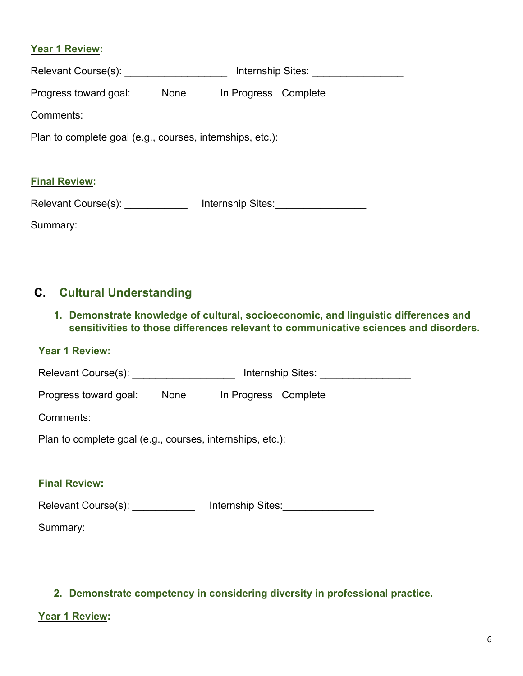#### **Year 1 Review:**

| Relevant Course(s):                                       |      |                      | Internship Sites: |
|-----------------------------------------------------------|------|----------------------|-------------------|
| Progress toward goal:                                     | None | In Progress Complete |                   |
| Comments:                                                 |      |                      |                   |
| Plan to complete goal (e.g., courses, internships, etc.): |      |                      |                   |
| <b>Final Review:</b>                                      |      |                      |                   |
| Relevant Course(s):                                       |      | Internship Sites:    |                   |

Summary:

# **C. Cultural Understanding**

**1. Demonstrate knowledge of cultural, socioeconomic, and linguistic differences and sensitivities to those differences relevant to communicative sciences and disorders.**

|--|

| Relevant Course(s): Relevant Course (s):                  |      |                      | Internship Sites: Note that the state of the state of the state of the state of the state of the state of the state of the state of the state of the state of the state of the state of the state of the state of the state of |
|-----------------------------------------------------------|------|----------------------|--------------------------------------------------------------------------------------------------------------------------------------------------------------------------------------------------------------------------------|
| Progress toward goal:                                     | None | In Progress Complete |                                                                                                                                                                                                                                |
| Comments:                                                 |      |                      |                                                                                                                                                                                                                                |
| Plan to complete goal (e.g., courses, internships, etc.): |      |                      |                                                                                                                                                                                                                                |
| <b>Final Review:</b>                                      |      |                      |                                                                                                                                                                                                                                |
| Relevant Course(s):                                       |      | Internship Sites:    |                                                                                                                                                                                                                                |

Summary:

### **2. Demonstrate competency in considering diversity in professional practice.**

#### **Year 1 Review:**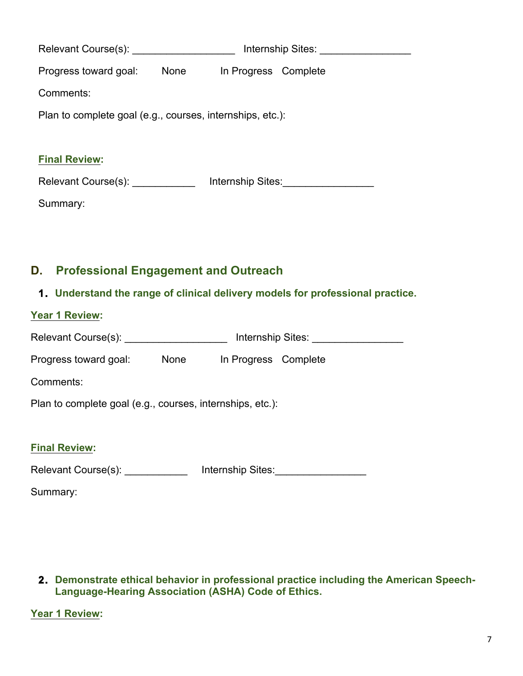|                                                           |             |                      | Internship Sites: |
|-----------------------------------------------------------|-------------|----------------------|-------------------|
| Progress toward goal:                                     | <b>None</b> | In Progress Complete |                   |
| Comments:                                                 |             |                      |                   |
| Plan to complete goal (e.g., courses, internships, etc.): |             |                      |                   |
|                                                           |             |                      |                   |
| <b>Final Review:</b>                                      |             |                      |                   |
| Relevant Course(s): _____________                         |             |                      |                   |
| Summary:                                                  |             |                      |                   |
|                                                           |             |                      |                   |

# **D. Professional Engagement and Outreach**

## **1. Understand the range of clinical delivery models for professional practice.**

| <b>Year 1 Review:</b>                                     |      |                      |  |
|-----------------------------------------------------------|------|----------------------|--|
| Relevant Course(s):                                       |      | Internship Sites:    |  |
| Progress toward goal:                                     | None | In Progress Complete |  |
| Comments:                                                 |      |                      |  |
| Plan to complete goal (e.g., courses, internships, etc.): |      |                      |  |
|                                                           |      |                      |  |
| <b>Final Review:</b>                                      |      |                      |  |
| Relevant Course(s):                                       |      | Internship Sites:    |  |

| 2. Demonstrate ethical behavior in professional practice including the American Speech- |
|-----------------------------------------------------------------------------------------|
| Language-Hearing Association (ASHA) Code of Ethics.                                     |

**Year 1 Review:**